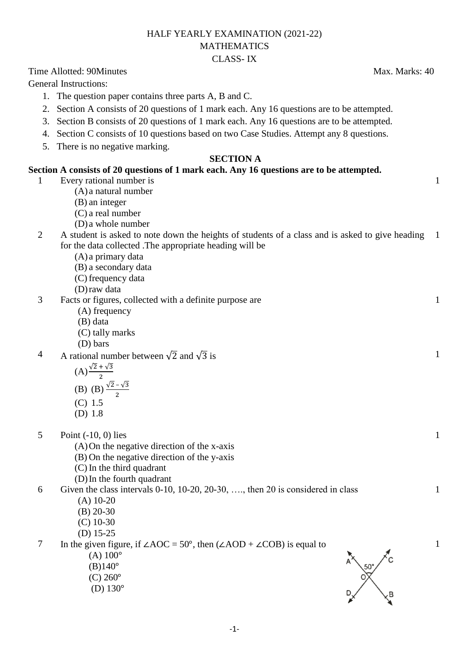### HALF YEARLY EXAMINATION (2021-22) MATHEMATICS CLASS- IX

Time Allotted: 90Minutes **Max.** Marks: 40

General Instructions:

- 1. The question paper contains three parts A, B and C.
- 2. Section A consists of 20 questions of 1 mark each. Any 16 questions are to be attempted.
- 3. Section B consists of 20 questions of 1 mark each. Any 16 questions are to be attempted.
- 4. Section C consists of 10 questions based on two Case Studies. Attempt any 8 questions.
- 5. There is no negative marking.

#### **SECTION A**

## **Section A consists of 20 questions of 1 mark each. Any 16 questions are to be attempted.**

- 1 Every rational number is
	- (A) a natural number
	- (B) an integer
	- (C) a real number
	- (D) a whole number
- 2 A student is asked to note down the heights of students of a class and is asked to give heading 1 for the data collected .The appropriate heading will be
	- (A) a primary data
	- (B) a secondary data
	- (C) frequency data
	- (D)raw data
- 3 Facts or figures, collected with a definite purpose are
	- (A) frequency
	- (B) data
	- (C) tally marks
	- (D) bars
- 4 A rational number between  $\sqrt{2}$  and  $\sqrt{3}$  is
	- $(A) \frac{\sqrt{2} + \sqrt{3}}{2}$

(B) (B) 
$$
\frac{\sqrt{2}-\sqrt{3}}{2}
$$

$$
(C) 1.5
$$

(D) 1.8

5 Point (-10, 0) lies

- (A)On the negative direction of the x-axis
- (B) On the negative direction of the y-axis
- (C) In the third quadrant
- (D)In the fourth quadrant

6 Given the class intervals 0-10, 10-20, 20-30, …., then 20 is considered in class (A) 10-20

- (B) 20-30
- (C) 10-30
- (D) 15-25

7 In the given figure, if  $\angle AOC = 50^\circ$ , then  $(\angle AOD + \angle COB)$  is equal to

- $(A) 100^{\circ}$
- $(B)140^\circ$
- $(C) 260^{\circ}$
- (D)  $130^{\circ}$



1

1

1

1



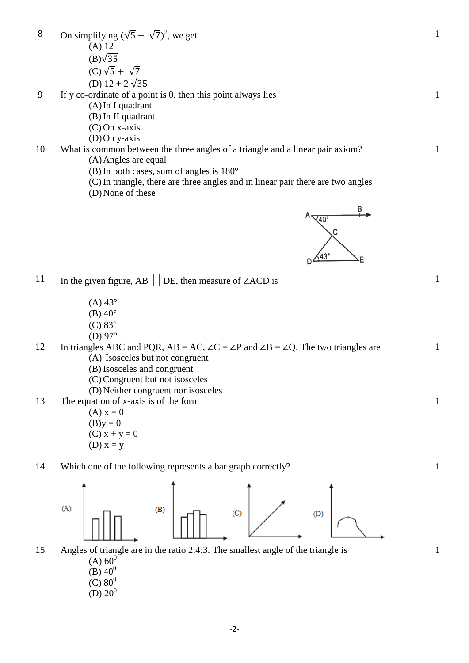8 On simplifying  $(\sqrt{5} + \sqrt{7})^2$ , we get (A) 12  $(B)\sqrt{35}$ (C)  $\sqrt{5} + \sqrt{7}$ (D)  $12 + 2\sqrt{35}$ 1 9 If y co-ordinate of a point is 0, then this point always lies (A)In I quadrant (B) In II quadrant (C) On x-axis (D)On y-axis 1

10 What is common between the three angles of a triangle and a linear pair axiom? (A)Angles are equal

- (B) In both cases, sum of angles is 180
- (C) In triangle, there are three angles and in linear pair there are two angles
- (D)None of these



- $(A) 43^{\circ}$
- $(B)$  40 $^{\circ}$
- $(C)$  83 $\circ$
- (D)  $97^\circ$

12 In triangles ABC and PQR, AB = AC,  $\angle C = \angle P$  and  $\angle B = \angle Q$ . The two triangles are (A) Isosceles but not congruent

- (B) Isosceles and congruent
- (C) Congruent but not isosceles
- (D)Neither congruent nor isosceles

13 The equation of x-axis is of the form

 $(A) x = 0$  $(B)y = 0$  $(C) x + y = 0$ (D)  $x = y$ 

14 Which one of the following represents a bar graph correctly? 1



- 15 Angles of triangle are in the ratio 2:4:3. The smallest angle of the triangle is
	- $(A) 60<sup>0</sup>$
	- (B)  $40^0$
	- $(C) 80^0$
	- (D)  $20^0$



1

1

1

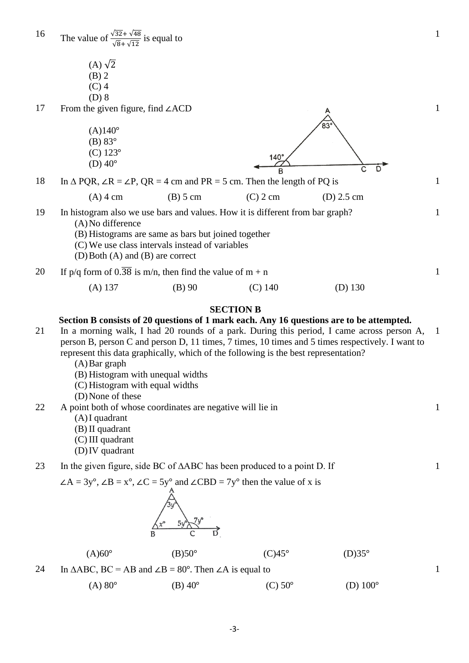1 16 The value of  $\frac{\sqrt{32} + \sqrt{48}}{\sqrt{8} + \sqrt{12}}$  is equal to  $(A)$   $\sqrt{2}$ (B) 2 (C) 4 (D) 8 17 From the given figure, find ∠ACD 1 ้ฉว  $(A)140^{\circ}$  $(B)$  83 $\circ$ (C) 123  $140^\circ$ (D)  $40^{\circ}$  $\overline{B}$ 18 In  $\triangle$  PQR,  $\angle$ R =  $\angle$ P, QR = 4 cm and PR = 5 cm. Then the length of PQ is 1  $(A)$  4 cm (B) 5 cm (C) 2 cm (D) 2.5 cm 19 In histogram also we use bars and values. How it is different from bar graph? 1 (A)No difference (B) Histograms are same as bars but joined together (C) We use class intervals instead of variables (D)Both (A) and (B) are correct 20 If p/q form of  $0.\overline{38}$  is m/n, then find the value of m + n 1 (A) 137 (B) 90 (C) 140 (D) 130 **SECTION B Section B consists of 20 questions of 1 mark each. Any 16 questions are to be attempted.** 21 In a morning walk, I had 20 rounds of a park. During this period, I came across person A, 1 person B, person C and person D, 11 times, 7 times, 10 times and 5 times respectively. I want to represent this data graphically, which of the following is the best representation? (A)Bar graph (B) Histogram with unequal widths (C) Histogram with equal widths (D)None of these 22 A point both of whose coordinates are negative will lie in 1 (A)I quadrant (B) II quadrant (C) III quadrant (D)IV quadrant 23 In the given figure, side BC of ∆ABC has been produced to a point D. If 1  $\angle A = 3y^{\circ}$ ,  $\angle B = x^{\circ}$ ,  $\angle C = 5y^{\circ}$  and  $\angle CBD = 7y^{\circ}$  then the value of x is  $(A)60^{\circ}$  (B)50°  $(C)45^{\circ}$  (D)35°

24 In  $\triangle ABC$ , BC = AB and  $\angle B = 80^\circ$ . Then  $\angle A$  is equal to

(A)  $80^{\circ}$  (B)  $40^{\circ}$  (C)  $50^{\circ}$  (D)  $100^{\circ}$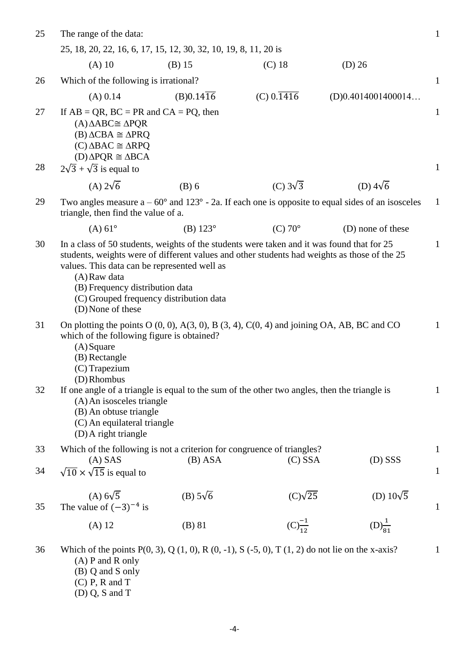| 25       | The range of the data:                                                                                                                                                                                                                                                                                                                                        |                        |                         |                      | $\mathbf{1}$                 |
|----------|---------------------------------------------------------------------------------------------------------------------------------------------------------------------------------------------------------------------------------------------------------------------------------------------------------------------------------------------------------------|------------------------|-------------------------|----------------------|------------------------------|
|          | 25, 18, 20, 22, 16, 6, 17, 15, 12, 30, 32, 10, 19, 8, 11, 20 is                                                                                                                                                                                                                                                                                               |                        |                         |                      |                              |
|          | $(A)$ 10                                                                                                                                                                                                                                                                                                                                                      | $(B)$ 15               | $(C)$ 18                | $(D)$ 26             |                              |
| 26       | Which of the following is irrational?                                                                                                                                                                                                                                                                                                                         |                        |                         |                      |                              |
|          | (A) 0.14                                                                                                                                                                                                                                                                                                                                                      | $(B)0.14\overline{16}$ | $(C) 0.\overline{1416}$ | (D)0.4014001400014   |                              |
| 27<br>28 | If $AB = QR$ , $BC = PR$ and $CA = PQ$ , then<br>$(A)\Delta ABC \cong \Delta PQR$<br>$(B) \triangle CBA \cong \triangle P RQ$<br>$(C)\Delta BAC \cong \Delta RPQ$<br>$(D)\Delta PQR \cong \Delta BCA$<br>$2\sqrt{3} + \sqrt{3}$ is equal to                                                                                                                   |                        |                         |                      | $\mathbf{1}$<br>$\mathbf{1}$ |
|          | (A) $2\sqrt{6}$                                                                                                                                                                                                                                                                                                                                               | $(B)$ 6                | (C) $3\sqrt{3}$         | (D) $4\sqrt{6}$      |                              |
| 29       | Two angles measure $a - 60^{\circ}$ and $123^{\circ}$ - 2a. If each one is opposite to equal sides of an isosceles<br>triangle, then find the value of a.                                                                                                                                                                                                     |                        |                         |                      | $\mathbf{1}$                 |
|          | $(A) 61^{\circ}$                                                                                                                                                                                                                                                                                                                                              | (B) $123^{\circ}$      | $(C)$ 70 $\degree$      | (D) none of these    |                              |
| 30       | In a class of 50 students, weights of the students were taken and it was found that for 25<br>students, weights were of different values and other students had weights as those of the 25<br>values. This data can be represented well as<br>(A) Raw data<br>(B) Frequency distribution data<br>(C) Grouped frequency distribution data<br>(D) None of these |                        |                         |                      | $\mathbf{1}$                 |
| 31       | On plotting the points $O(0, 0)$ , $A(3, 0)$ , $B(3, 4)$ , $C(0, 4)$ and joining OA, AB, BC and CO<br>which of the following figure is obtained?<br>$(A)$ Square<br>(B) Rectangle<br>(C) Trapezium<br>(D) Rhombus                                                                                                                                             |                        |                         |                      | $\mathbf{1}$                 |
| 32       | If one angle of a triangle is equal to the sum of the other two angles, then the triangle is<br>(A) An isosceles triangle<br>(B) An obtuse triangle<br>(C) An equilateral triangle<br>(D) A right triangle                                                                                                                                                    |                        |                         |                      | $\mathbf{1}$                 |
| 33       | Which of the following is not a criterion for congruence of triangles?<br>$\mathbf{1}$                                                                                                                                                                                                                                                                        |                        |                         |                      |                              |
| 34       | $(A)$ SAS<br>$\sqrt{10} \times \sqrt{15}$ is equal to                                                                                                                                                                                                                                                                                                         | $(B)$ ASA              | $(C)$ SSA               | $(D)$ SSS            | $\mathbf{1}$                 |
| 35       | $(A)$ 6 $\sqrt{5}$<br>The value of $(-3)^{-4}$ is                                                                                                                                                                                                                                                                                                             | (B) $5\sqrt{6}$        | $(C)\sqrt{25}$          | (D) $10\sqrt{5}$     | $\mathbf{1}$                 |
|          | $(A)$ 12                                                                                                                                                                                                                                                                                                                                                      | $(B)$ 81               | $(C)^{-1}_{12}$         | $(D)^{\frac{1}{81}}$ |                              |
| 36       | Which of the points $P(0, 3)$ , Q $(1, 0)$ , R $(0, -1)$ , S $(-5, 0)$ , T $(1, 2)$ do not lie on the x-axis?<br>$(A)$ P and R only<br>(B) Q and S only<br>$(C)$ P, R and T<br>$(D)$ Q, S and T                                                                                                                                                               |                        |                         |                      | $\mathbf{1}$                 |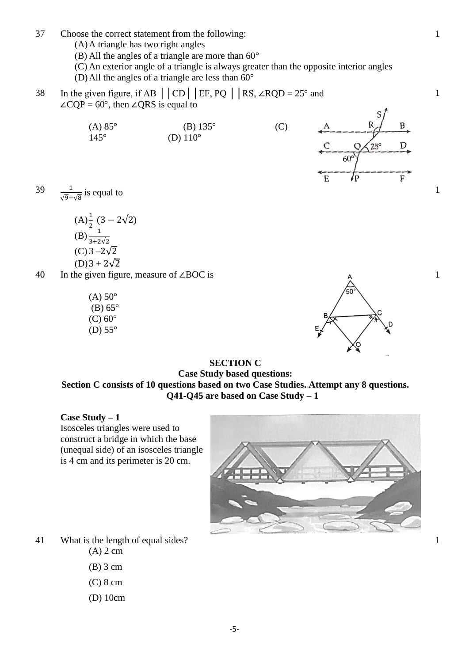- 37 Choose the correct statement from the following:
	- (A)A triangle has two right angles
	- (B) All the angles of a triangle are more than  $60^{\circ}$
	- (C) An exterior angle of a triangle is always greater than the opposite interior angles (D) All the angles of a triangle are less than  $60^{\circ}$
- 38 In the given figure, if AB  $\vert$   $\vert$  CD  $\vert$   $\vert$  EF, PQ  $\vert$   $\vert$  RS, ∠RQD = 25° and ∠CQP =  $60^\circ$ , then ∠QRS is equal to
	- (A)  $85^{\circ}$  (B)  $135^{\circ}$  (C)  $145^{\circ}$  (D)  $110^{\circ}$



39  $\frac{1}{2}$  $\frac{1}{\sqrt{9}-\sqrt{8}}$  is equal to

(A)
$$
\frac{1}{2}
$$
 (3 - 2 $\sqrt{2}$   
\n(B) $\frac{1}{3+2\sqrt{2}}$   
\n(C) 3 -2 $\sqrt{2}$   
\n(D) 3 + 2 $\sqrt{2}$ 

- 40 In the given figure, measure of ∠BOC is
	- $(A)$  50 $^{\circ}$  $(B)$  65 $\degree$  $(C)$  60 $\degree$ (D)  $55^\circ$



#### **SECTION C Case Study based questions: Section C consists of 10 questions based on two Case Studies. Attempt any 8 questions. Q41-Q45 are based on Case Study – 1**

**Case Study – 1**

Isosceles triangles were used to construct a bridge in which the base (unequal side) of an isosceles triangle is 4 cm and its perimeter is 20 cm.



- 41 What is the length of equal sides?
	- (A) 2 cm
	- (B) 3 cm
	- (C) 8 cm
	- (D) 10cm

1

1

1

1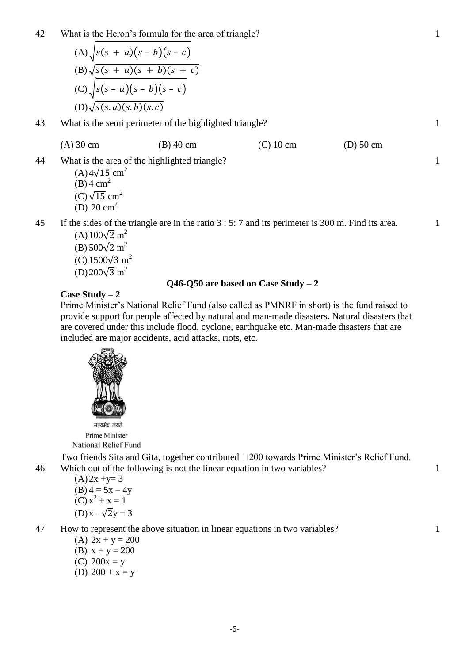42 What is the Heron's formula for the area of triangle?

(A) 
$$
\sqrt{s(s + a)(s - b)(s - c)}
$$
  
\n(B) 
$$
\sqrt{s(s + a)(s + b)(s + c)}
$$
  
\n(C) 
$$
\sqrt{s(s - a)(s - b)(s - c)}
$$
  
\n(D) 
$$
\sqrt{s(s.a)(s.b)(s.c)}
$$

43 What is the semi perimeter of the highlighted triangle?

(A) 30 cm (B) 40 cm (C) 10 cm (D) 50 cm

1

1

1

1

1

1

44 What is the area of the highlighted triangle?

 $(A)4\sqrt{15}$  cm<sup>2</sup>  $(B)$  4 cm<sup>2</sup>  $(C)\sqrt{15}$  cm<sup>2</sup> (D)  $20 \text{ cm}^2$ 

45 If the sides of the triangle are in the ratio 3 : 5: 7 and its perimeter is 300 m. Find its area.

 $(A)100\sqrt{2}$  m<sup>2</sup> (B)  $500\sqrt{2}$  m<sup>2</sup> (C)  $1500\sqrt{3}$  m<sup>2</sup>  $(D)200\sqrt{3}$  m<sup>2</sup>

## **Q46-Q50 are based on Case Study – 2**

#### **Case Study – 2**

Prime Minister's National Relief Fund (also called as PMNRF in short) is the fund raised to provide support for people affected by natural and man-made disasters. Natural disasters that are covered under this include flood, cyclone, earthquake etc. Man-made disasters that are included are major accidents, acid attacks, riots, etc.



सत्यमेव जयते Prime Minister **National Relief Fund** 

Two friends Sita and Gita, together contributed  $\square 200$  towards Prime Minister's Relief Fund. 46 Which out of the following is not the linear equation in two variables?

 $(A)2x +y= 3$  $(B)$  4 = 5x – 4y  $(C) x<sup>2</sup> + x = 1$  $(D)x - \sqrt{2}y = 3$ 

47 How to represent the above situation in linear equations in two variables?

(A)  $2x + y = 200$ 

- (B)  $x + y = 200$
- (C)  $200x = y$
- (D)  $200 + x = y$